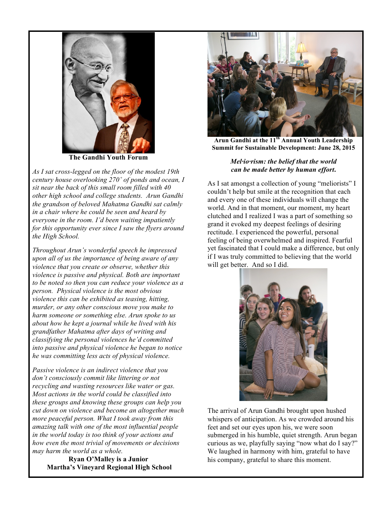

**The Gandhi Youth Forum**

*As I sat cross-legged on the floor of the modest 19th century house overlooking 270˚ of ponds and ocean, I sit near the back of this small room filled with 40 other high school and college students. Arun Gandhi the grandson of beloved Mahatma Gandhi sat calmly in a chair where he could be seen and heard by everyone in the room. I'd been waiting impatiently for this opportunity ever since I saw the flyers around the High School.*

*Throughout Arun's wonderful speech he impressed upon all of us the importance of being aware of any violence that you create or observe, whether this violence is passive and physical. Both are important to be noted so then you can reduce your violence as a person. Physical violence is the most obvious violence this can be exhibited as teasing, hitting, murder, or any other conscious move you make to harm someone or something else. Arun spoke to us about how he kept a journal while he lived with his grandfather Mahatma after days of writing and classifying the personal violences he'd committed into passive and physical violence he began to notice he was committing less acts of physical violence.*

*Passive violence is an indirect violence that you don't consciously commit like littering or not recycling and wasting resources like water or gas. Most actions in the world could be classified into these groups and knowing these groups can help you cut down on violence and become an altogether much more peaceful person. What I took away from this amazing talk with one of the most influential people in the world today is too think of your actions and how even the most trivial of movements or decisions may harm the world as a whole.*

**Ryan O'Malley is a Junior Martha's Vineyard Regional High School** 



**Arun Gandhi at the 11th Annual Youth Leadership Summit for Sustainable Development: June 28, 2015**

## *Mel·io·rism: the belief that the world can be made better by human effort***.**

As I sat amongst a collection of young "meliorists" I couldn't help but smile at the recognition that each and every one of these individuals will change the world. And in that moment, our moment, my heart clutched and I realized I was a part of something so grand it evoked my deepest feelings of desiring rectitude. I experienced the powerful, personal feeling of being overwhelmed and inspired. Fearful yet fascinated that I could make a difference, but only if I was truly committed to believing that the world will get better. And so I did.



The arrival of Arun Gandhi brought upon hushed whispers of anticipation. As we crowded around his feet and set our eyes upon his, we were soon submerged in his humble, quiet strength. Arun began curious as we, playfully saying "now what do I say?" We laughed in harmony with him, grateful to have his company, grateful to share this moment.